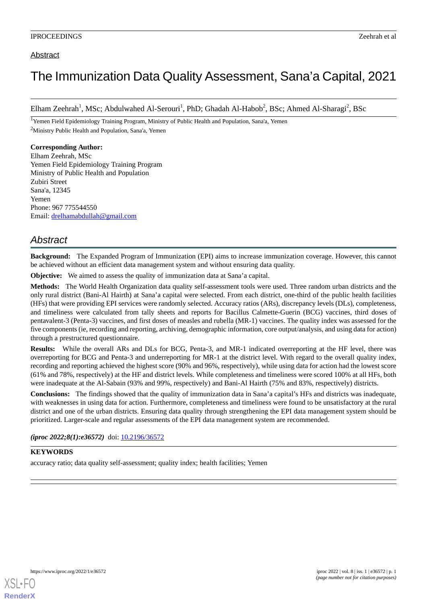## Abstract

# The Immunization Data Quality Assessment, Sana'a Capital, 2021

Elham Zeehrah<sup>1</sup>, MSc; Abdulwahed Al-Serouri<sup>1</sup>, PhD; Ghadah Al-Habob<sup>2</sup>, BSc; Ahmed Al-Sharagi<sup>2</sup>, BSc

<sup>1</sup>Yemen Field Epidemiology Training Program, Ministry of Public Health and Population, Sana'a, Yemen <sup>2</sup>Ministry Public Health and Population, Sana'a, Yemen

### **Corresponding Author:**

Elham Zeehrah, MSc Yemen Field Epidemiology Training Program Ministry of Public Health and Population Zubiri Street Sana'a, 12345 Yemen Phone: 967 775544550 Email: [drelhamabdullah@gmail.com](mailto:drelhamabdullah@gmail.com)

## *Abstract*

**Background:** The Expanded Program of Immunization (EPI) aims to increase immunization coverage. However, this cannot be achieved without an efficient data management system and without ensuring data quality.

**Objective:** We aimed to assess the quality of immunization data at Sana'a capital.

**Methods:** The World Health Organization data quality self-assessment tools were used. Three random urban districts and the only rural district (Bani-Al Hairth) at Sana'a capital were selected. From each district, one-third of the public health facilities (HFs) that were providing EPI services were randomly selected. Accuracy ratios (ARs), discrepancy levels (DLs), completeness, and timeliness were calculated from tally sheets and reports for Bacillus Calmette-Guerin (BCG) vaccines, third doses of pentavalent-3 (Penta-3) vaccines, and first doses of measles and rubella (MR-1) vaccines. The quality index was assessed for the five components (ie, recording and reporting, archiving, demographic information, core output/analysis, and using data for action) through a prestructured questionnaire.

**Results:** While the overall ARs and DLs for BCG, Penta-3, and MR-1 indicated overreporting at the HF level, there was overreporting for BCG and Penta-3 and underreporting for MR-1 at the district level. With regard to the overall quality index, recording and reporting achieved the highest score (90% and 96%, respectively), while using data for action had the lowest score (61% and 78%, respectively) at the HF and district levels. While completeness and timeliness were scored 100% at all HFs, both were inadequate at the Al-Sabain (93% and 99%, respectively) and Bani-Al Hairth (75% and 83%, respectively) districts.

**Conclusions:** The findings showed that the quality of immunization data in Sana'a capital's HFs and districts was inadequate, with weaknesses in using data for action. Furthermore, completeness and timeliness were found to be unsatisfactory at the rural district and one of the urban districts. Ensuring data quality through strengthening the EPI data management system should be prioritized. Larger-scale and regular assessments of the EPI data management system are recommended.

*(iproc 2022;8(1):e36572)* doi: [10.2196/36572](http://dx.doi.org/10.2196/36572)

## **KEYWORDS**

accuracy ratio; data quality self-assessment; quality index; health facilities; Yemen